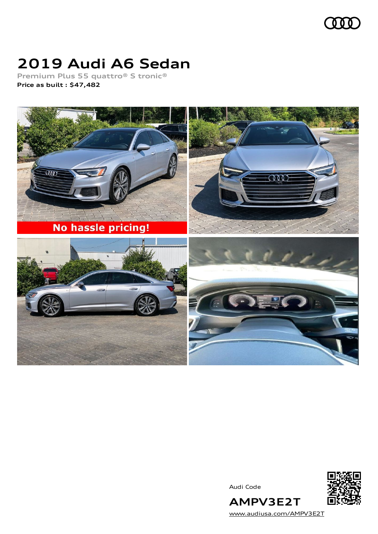

# **2019 Audi A6 Sedan**

**Premium Plus 55 quattro® S tronic® Price as built [:](#page-8-0) \$47,482**



Audi Code



[www.audiusa.com/AMPV3E2T](https://www.audiusa.com/AMPV3E2T)

**AMPV3E2T**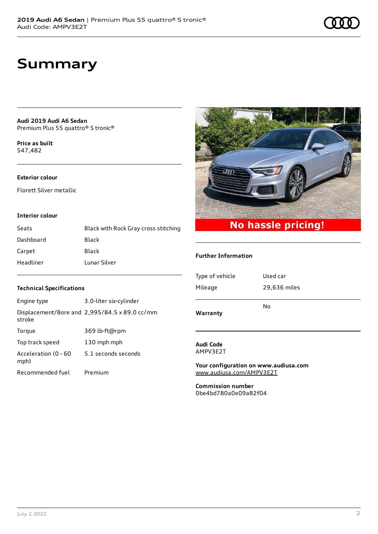**Audi 2019 Audi A6 Sedan** Premium Plus 55 quattro® S tronic®

**Price as buil[t](#page-8-0)** \$47,482

### **Exterior colour**

Florett Silver metallic

#### **Interior colour**

| Seats     | Black with Rock Gray cross stitching |
|-----------|--------------------------------------|
| Dashboard | Black                                |
| Carpet    | Black                                |
| Headliner | Lunar Silver                         |

### **Technical Specifications**

| Engine type                  | 3.0-liter six-cylinder                        |
|------------------------------|-----------------------------------------------|
| stroke                       | Displacement/Bore and 2,995/84.5 x 89.0 cc/mm |
| Torque                       | 369 lb-ft@rpm                                 |
| Top track speed              | 130 mph mph                                   |
| Acceleration (0 - 60<br>mph) | 5.1 seconds seconds                           |
| Recommended fuel             | Premium                                       |



#### **Further Information**

| Warranty        |              |
|-----------------|--------------|
|                 | No           |
| Mileage         | 29,636 miles |
| Type of vehicle | Used car     |
|                 |              |

#### **Audi Code** AMPV3E2T

**Your configuration on www.audiusa.com** [www.audiusa.com/AMPV3E2T](https://www.audiusa.com/AMPV3E2T)

**Commission number** 0be4bd780a0e09a82f04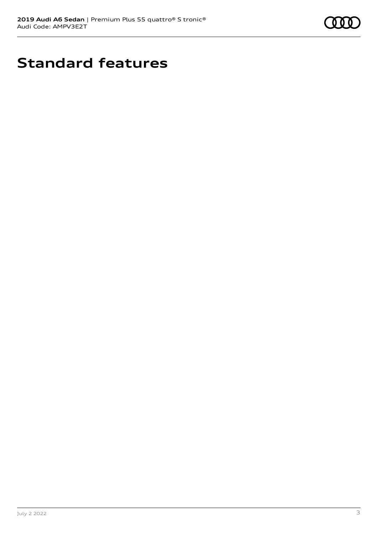

# **Standard features**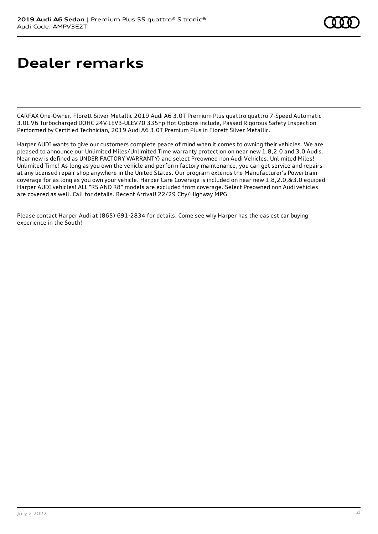# **Dealer remarks**

CARFAX One-Owner. Florett Silver Metallic 2019 Audi A6 3.0T Premium Plus quattro quattro 7-Speed Automatic 3.0L V6 Turbocharged DOHC 24V LEV3-ULEV70 335hp Hot Options include, Passed Rigorous Safety Inspection Performed by Certified Technician, 2019 Audi A6 3.0T Premium Plus in Florett Silver Metallic.

Harper AUDI wants to give our customers complete peace of mind when it comes to owning their vehicles. We are pleased to announce our Unlimited Miles/Unlimited Time warranty protection on near new 1.8,2.0 and 3.0 Audis. Near new is defined as UNDER FACTORY WARRANTY) and select Preowned non Audi Vehicles. Unlimited Miles! Unlimited Time! As long as you own the vehicle and perform factory maintenance, you can get service and repairs at any licensed repair shop anywhere in the United States. Our program extends the Manufacturer's Powertrain coverage for as long as you own your vehicle. Harper Care Coverage is included on near new 1.8,2.0,&3.0 equiped Harper AUDI vehicles! ALL "RS AND R8" models are excluded from coverage. Select Preowned non Audi vehicles are covered as well. Call for details. Recent Arrival! 22/29 City/Highway MPG

Please contact Harper Audi at (865) 691-2834 for details. Come see why Harper has the easiest car buying experience in the South!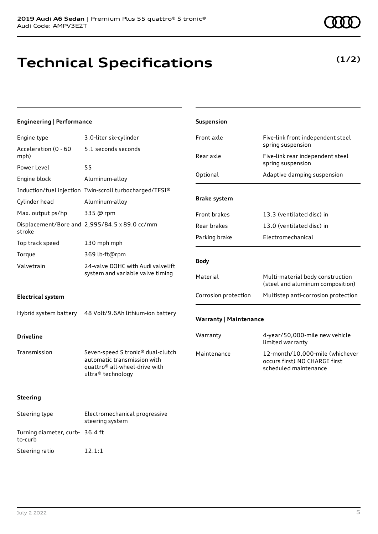# **Technical Specifications**

### **(1/2)**

| <b>Engineering   Performance</b> |                                                                                                                                    | Suspension                    |                                                                                           |
|----------------------------------|------------------------------------------------------------------------------------------------------------------------------------|-------------------------------|-------------------------------------------------------------------------------------------|
| Engine type                      | 3.0-liter six-cylinder                                                                                                             | Front axle                    | Five-link front independent steel                                                         |
| Acceleration (0 - 60<br>mph)     | 5.1 seconds seconds                                                                                                                | Rear axle                     | spring suspension<br>Five-link rear independent steel                                     |
| Power Level<br>Engine block      | 55<br>Aluminum-alloy                                                                                                               | Optional                      | spring suspension<br>Adaptive damping suspension                                          |
| Cylinder head                    | Induction/fuel injection Twin-scroll turbocharged/TFSI®<br>Aluminum-alloy                                                          | <b>Brake system</b>           |                                                                                           |
| Max. output ps/hp                | 335 @ rpm<br>Displacement/Bore and 2,995/84.5 x 89.0 cc/mm                                                                         | Front brakes<br>Rear brakes   | 13.3 (ventilated disc) in<br>13.0 (ventilated disc) in                                    |
| stroke<br>Top track speed        | 130 mph mph                                                                                                                        | Parking brake                 | Electromechanical                                                                         |
| Torque<br>Valvetrain             | 369 lb-ft@rpm<br>24-valve DOHC with Audi valvelift<br>system and variable valve timing                                             | <b>Body</b>                   |                                                                                           |
|                                  |                                                                                                                                    | Material                      | Multi-material body construction<br>(steel and aluminum composition)                      |
| <b>Electrical system</b>         |                                                                                                                                    | Corrosion protection          | Multistep anti-corrosion protection                                                       |
| Hybrid system battery            | 48 Volt/9.6Ah lithium-ion battery                                                                                                  | <b>Warranty   Maintenance</b> |                                                                                           |
| <b>Driveline</b>                 |                                                                                                                                    | Warranty                      | 4-year/50,000-mile new vehicle<br>limited warranty                                        |
| Transmission                     | Seven-speed S tronic® dual-clutch<br>automatic transmission with<br>quattro <sup>®</sup> all-wheel-drive with<br>ultra® technology | Maintenance                   | 12-month/10,000-mile (whichever<br>occurs first) NO CHARGE first<br>scheduled maintenance |
| <b>Steering</b>                  |                                                                                                                                    |                               |                                                                                           |
| Steering type                    | Electromechanical progressive<br>steering system                                                                                   |                               |                                                                                           |

Turning diameter, curb-36.4 ft

to-curb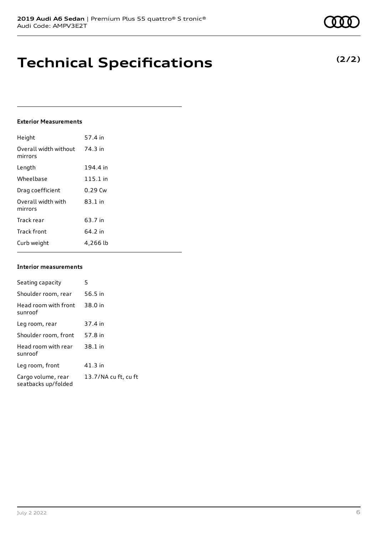### **Technical Specifications**

### **Exterior Measurements**

| Height                           | 57.4 in   |
|----------------------------------|-----------|
| Overall width without<br>mirrors | 74.3 in   |
| Length                           | 194.4 in  |
| Wheelbase                        | 115.1 in  |
| Drag coefficient                 | $0.29$ Cw |
| Overall width with<br>mirrors    | $83.1$ in |
| Track rear                       | 63.7 in   |
| <b>Track front</b>               | 64.2 in   |
| Curb weight                      | 4,266 lb  |

#### **Interior measurements**

| Seating capacity                          | 5                    |
|-------------------------------------------|----------------------|
| Shoulder room, rear                       | 56.5 in              |
| Head room with front<br>sunroof           | 38.0 in              |
| Leg room, rear                            | 37.4 in              |
| Shoulder room, front                      | 57.8 in              |
| Head room with rear<br>sunroof            | 38.1 in              |
| Leg room, front                           | 41.3 in              |
| Cargo volume, rear<br>seatbacks up/folded | 13.7/NA cu ft, cu ft |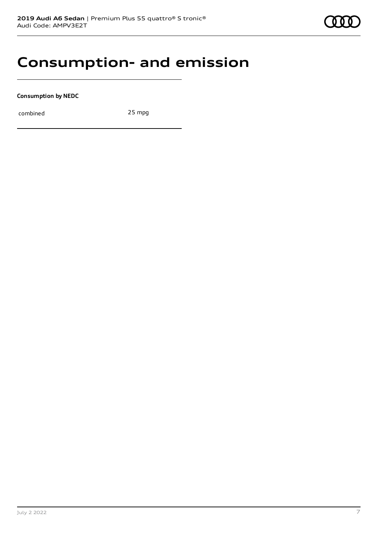### **Consumption- and emission**

**Consumption by NEDC**

combined 25 mpg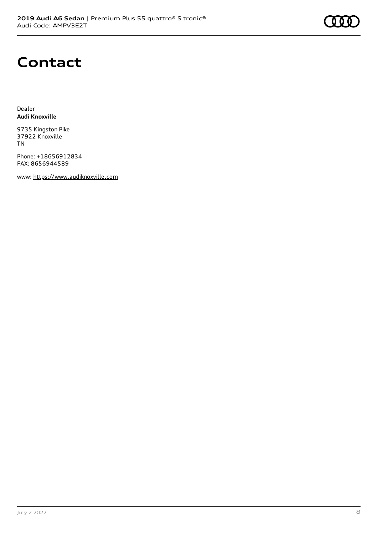### **Contact**

Dealer **Audi Knoxville**

9735 Kingston Pike 37922 Knoxville TN

Phone: +18656912834 FAX: 8656944589

www: [https://www.audiknoxville.com](https://www.audiknoxville.com/)